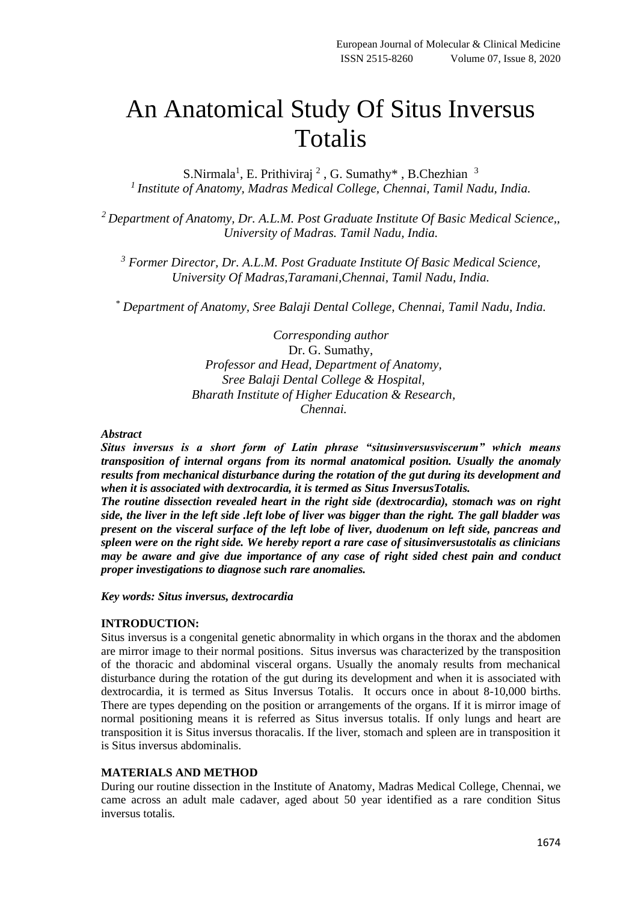# An Anatomical Study Of Situs Inversus Totalis

S.Nirmala<sup>1</sup>, E. Prithiviraj<sup>2</sup>, G. Sumathy<sup>\*</sup>, B.Chezhian<sup>3</sup> *<sup>1</sup>Institute of Anatomy, Madras Medical College, Chennai, Tamil Nadu, India.*

*<sup>2</sup>Department of Anatomy, Dr. A.L.M. Post Graduate Institute Of Basic Medical Science,, University of Madras. Tamil Nadu, India.*

*<sup>3</sup> Former Director, Dr. A.L.M. Post Graduate Institute Of Basic Medical Science, University Of Madras,Taramani,Chennai, Tamil Nadu, India.*

*\* Department of Anatomy, Sree Balaji Dental College, Chennai, Tamil Nadu, India.*

*Corresponding author* Dr. G. Sumathy, *Professor and Head, Department of Anatomy, Sree Balaji Dental College & Hospital, Bharath Institute of Higher Education & Research, Chennai.*

#### *Abstract*

*Situs inversus is a short form of Latin phrase "situsinversusviscerum" which means transposition of internal organs from its normal anatomical position. Usually the anomaly results from mechanical disturbance during the rotation of the gut during its development and when it is associated with dextrocardia, it is termed as Situs InversusTotalis.* 

*The routine dissection revealed heart in the right side (dextrocardia), stomach was on right side, the liver in the left side .left lobe of liver was bigger than the right. The gall bladder was present on the visceral surface of the left lobe of liver, duodenum on left side, pancreas and spleen were on the right side. We hereby report a rare case of situsinversustotalis as clinicians may be aware and give due importance of any case of right sided chest pain and conduct proper investigations to diagnose such rare anomalies.* 

*Key words: Situs inversus, dextrocardia*

#### **INTRODUCTION:**

Situs inversus is a congenital genetic abnormality in which organs in the thorax and the abdomen are mirror image to their normal positions. Situs inversus was characterized by the transposition of the thoracic and abdominal visceral organs. Usually the anomaly results from mechanical disturbance during the rotation of the gut during its development and when it is associated with dextrocardia, it is termed as Situs Inversus Totalis. It occurs once in about 8-10,000 births. There are types depending on the position or arrangements of the organs. If it is mirror image of normal positioning means it is referred as Situs inversus totalis. If only lungs and heart are transposition it is Situs inversus thoracalis. If the liver, stomach and spleen are in transposition it is Situs inversus abdominalis.

## **MATERIALS AND METHOD**

During our routine dissection in the Institute of Anatomy, Madras Medical College, Chennai, we came across an adult male cadaver, aged about 50 year identified as a rare condition Situs inversus totalis.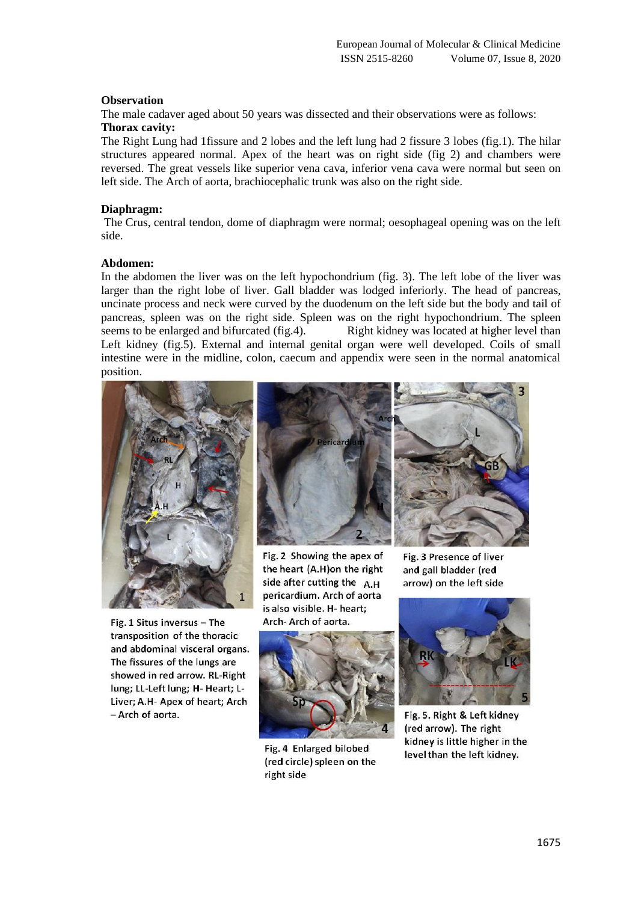## **Observation**

The male cadaver aged about 50 years was dissected and their observations were as follows: **Thorax cavity:** 

The Right Lung had 1fissure and 2 lobes and the left lung had 2 fissure 3 lobes (fig.1). The hilar structures appeared normal. Apex of the heart was on right side (fig 2) and chambers were reversed. The great vessels like superior vena cava, inferior vena cava were normal but seen on left side. The Arch of aorta, brachiocephalic trunk was also on the right side.

#### **Diaphragm:**

The Crus, central tendon, dome of diaphragm were normal; oesophageal opening was on the left side.

#### **Abdomen:**

In the abdomen the liver was on the left hypochondrium (fig. 3). The left lobe of the liver was larger than the right lobe of liver. Gall bladder was lodged inferiorly. The head of pancreas, uncinate process and neck were curved by the duodenum on the left side but the body and tail of pancreas, spleen was on the right side. Spleen was on the right hypochondrium. The spleen seems to be enlarged and bifurcated (fig.4). Right kidney was located at higher level than Left kidney (fig.5). External and internal genital organ were well developed. Coils of small intestine were in the midline, colon, caecum and appendix were seen in the normal anatomical position.



Fig. 1 Situs inversus - The transposition of the thoracic and abdominal visceral organs. The fissures of the lungs are showed in red arrow. RL-Right lung; LL-Left lung; H- Heart; L-Liver; A.H- Apex of heart; Arch - Arch of aorta.



Fig. 2 Showing the apex of the heart (A.H) on the right side after cutting the  $A.H$ pericardium. Arch of aorta is also visible. H- heart: Arch-Arch of aorta.



Fig. 4 Enlarged bilobed (red circle) spleen on the right side



Fig. 3 Presence of liver and gall bladder (red arrow) on the left side



Fig. 5. Right & Left kidney (red arrow). The right kidney is little higher in the level than the left kidney.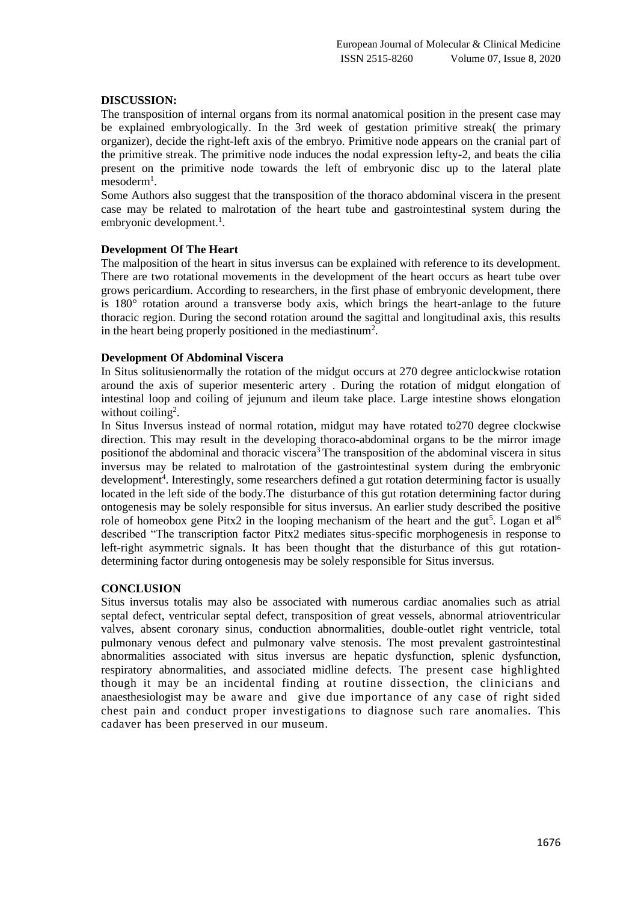## **DISCUSSION:**

The transposition of internal organs from its normal anatomical position in the present case may be explained embryologically. In the 3rd week of gestation primitive streak( the primary organizer), decide the right-left axis of the embryo. Primitive node appears on the cranial part of the primitive streak. The primitive node induces the nodal expression lefty-2, and beats the cilia present on the primitive node towards the left of embryonic disc up to the lateral plate mesoderm<sup>1</sup>.

Some Authors also suggest that the transposition of the thoraco abdominal viscera in the present case may be related to malrotation of the heart tube and gastrointestinal system during the embryonic development.<sup>1</sup>.

## **Development Of The Heart**

The malposition of the heart in situs inversus can be explained with reference to its development. There are two rotational movements in the development of the heart occurs as heart tube over grows pericardium. According to researchers, in the first phase of embryonic development, there is 180° rotation around a transverse body axis, which brings the heart-anlage to the future thoracic region. During the second rotation around the sagittal and longitudinal axis, this results in the heart being properly positioned in the mediastinum<sup>2</sup>.

## **Development Of Abdominal Viscera**

In Situs solitusienormally the rotation of the midgut occurs at 270 degree anticlockwise rotation around the axis of superior mesenteric artery . During the rotation of midgut elongation of intestinal loop and coiling of jejunum and ileum take place. Large intestine shows elongation without coiling<sup>2</sup>.

In Situs Inversus instead of normal rotation, midgut may have rotated to270 degree clockwise direction. This may result in the developing thoraco-abdominal organs to be the mirror image positionof the abdominal and thoracic viscera<sup>3</sup> The transposition of the abdominal viscera in situs inversus may be related to malrotation of the gastrointestinal system during the embryonic development<sup>4</sup>. Interestingly, some researchers defined a gut rotation determining factor is usually located in the left side of the body.The disturbance of this gut rotation determining factor during ontogenesis may be solely responsible for situs inversus. An earlier study described the positive role of homeobox gene Pitx2 in the looping mechanism of the heart and the gut<sup>5</sup>. Logan et al<sup>16</sup> described "The transcription factor Pitx2 mediates situs-specific morphogenesis in response to left-right asymmetric signals. It has been thought that the disturbance of this gut rotationdetermining factor during ontogenesis may be solely responsible for Situs inversus.

#### **CONCLUSION**

Situs inversus totalis may also be associated with numerous cardiac anomalies such as atrial septal defect, ventricular septal defect, transposition of great vessels, abnormal atrioventricular valves, absent coronary sinus, conduction abnormalities, double-outlet right ventricle, total pulmonary venous defect and pulmonary valve stenosis. The most prevalent gastrointestinal abnormalities associated with situs inversus are hepatic dysfunction, splenic dysfunction, respiratory abnormalities, and associated midline defects. The present case highlighted though it may be an incidental finding at routine dissection, the clinicians and anaesthesiologist may be aware and give due importance of any case of right sided chest pain and conduct proper investigations to diagnose such rare anomalies. This cadaver has been preserved in our museum.